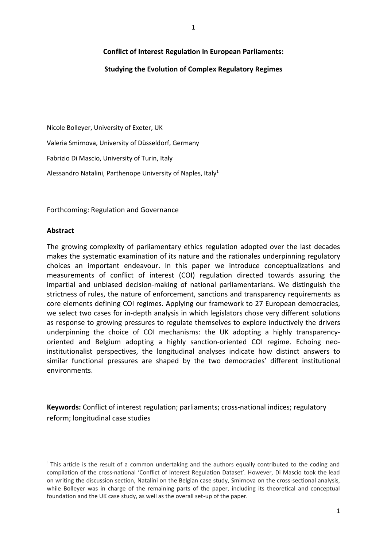# **Conflict of Interest Regulation in European Parliaments:**

# **Studying the Evolution of Complex Regulatory Regimes**

Nicole Bolleyer, University of Exeter, UK Valeria Smirnova, University of Düsseldorf, Germany Fabrizio Di Mascio, University of Turin, Italy Alessandro Natalini, Parthenope University of Naples, Italy<sup>1</sup>

Forthcoming: Regulation and Governance

## **Abstract**

 $\overline{\phantom{a}}$ 

The growing complexity of parliamentary ethics regulation adopted over the last decades makes the systematic examination of its nature and the rationales underpinning regulatory choices an important endeavour. In this paper we introduce conceptualizations and measurements of conflict of interest (COI) regulation directed towards assuring the impartial and unbiased decision-making of national parliamentarians. We distinguish the strictness of rules, the nature of enforcement, sanctions and transparency requirements as core elements defining COI regimes. Applying our framework to 27 European democracies, we select two cases for in-depth analysis in which legislators chose very different solutions as response to growing pressures to regulate themselves to explore inductively the drivers underpinning the choice of COI mechanisms: the UK adopting a highly transparencyoriented and Belgium adopting a highly sanction-oriented COI regime. Echoing neoinstitutionalist perspectives, the longitudinal analyses indicate how distinct answers to similar functional pressures are shaped by the two democracies' different institutional environments.

**Keywords:** Conflict of interest regulation; parliaments; cross-national indices; regulatory reform; longitudinal case studies

<sup>&</sup>lt;sup>1</sup> This article is the result of a common undertaking and the authors equally contributed to the coding and compilation of the cross-national 'Conflict of Interest Regulation Dataset'. However, Di Mascio took the lead on writing the discussion section, Natalini on the Belgian case study, Smirnova on the cross-sectional analysis, while Bolleyer was in charge of the remaining parts of the paper, including its theoretical and conceptual foundation and the UK case study, as well as the overall set-up of the paper.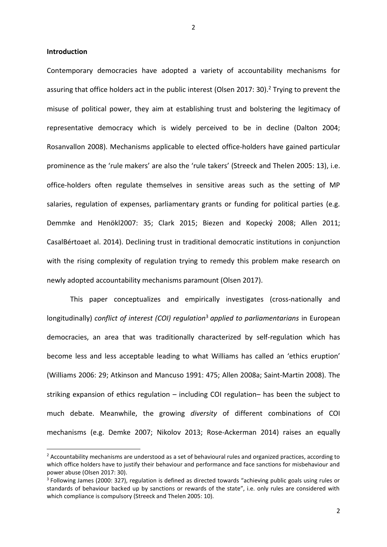2

## **Introduction**

**.** 

Contemporary democracies have adopted a variety of accountability mechanisms for assuring that office holders act in the public interest (Olsen 2017: 30).<sup>2</sup> Trying to prevent the misuse of political power, they aim at establishing trust and bolstering the legitimacy of representative democracy which is widely perceived to be in decline (Dalton 2004; Rosanvallon 2008). Mechanisms applicable to elected office-holders have gained particular prominence as the 'rule makers' are also the 'rule takers' (Streeck and Thelen 2005: 13), i.e. office-holders often regulate themselves in sensitive areas such as the setting of MP salaries, regulation of expenses, parliamentary grants or funding for political parties (e.g. Demmke and Henökl2007: 35; Clark 2015; Biezen and Kopecký 2008; Allen 2011; CasalBértoaet al. 2014). Declining trust in traditional democratic institutions in conjunction with the rising complexity of regulation trying to remedy this problem make research on newly adopted accountability mechanisms paramount (Olsen 2017).

This paper conceptualizes and empirically investigates (cross-nationally and longitudinally) *conflict of interest (COI) regulation*<sup>3</sup> *applied to parliamentarians* in European democracies, an area that was traditionally characterized by self-regulation which has become less and less acceptable leading to what Williams has called an 'ethics eruption' (Williams 2006: 29; Atkinson and Mancuso 1991: 475; Allen 2008a; Saint-Martin 2008). The striking expansion of ethics regulation – including COI regulation– has been the subject to much debate. Meanwhile, the growing *diversity* of different combinations of COI mechanisms (e.g. Demke 2007; Nikolov 2013; Rose-Ackerman 2014) raises an equally

<sup>&</sup>lt;sup>2</sup> Accountability mechanisms are understood as a set of behavioural rules and organized practices, according to which office holders have to justify their behaviour and performance and face sanctions for misbehaviour and power abuse (Olsen 2017: 30).

<sup>&</sup>lt;sup>3</sup> Following James (2000: 327), regulation is defined as directed towards "achieving public goals using rules or standards of behaviour backed up by sanctions or rewards of the state", i.e. only rules are considered with which compliance is compulsory (Streeck and Thelen 2005: 10).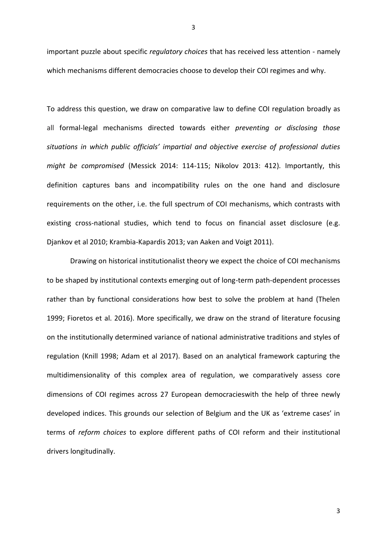important puzzle about specific *regulatory choices* that has received less attention - namely which mechanisms different democracies choose to develop their COI regimes and why.

To address this question, we draw on comparative law to define COI regulation broadly as all formal-legal mechanisms directed towards either *preventing or disclosing those*  situations in which public officials' impartial and objective exercise of professional duties *might be compromised* (Messick 2014: 114-115; Nikolov 2013: 412). Importantly, this definition captures bans and incompatibility rules on the one hand and disclosure requirements on the other, i.e. the full spectrum of COI mechanisms, which contrasts with existing cross-national studies, which tend to focus on financial asset disclosure (e.g. Djankov et al 2010; Krambia-Kapardis 2013; van Aaken and Voigt 2011).

Drawing on historical institutionalist theory we expect the choice of COI mechanisms to be shaped by institutional contexts emerging out of long-term path-dependent processes rather than by functional considerations how best to solve the problem at hand (Thelen 1999; Fioretos et al. 2016). More specifically, we draw on the strand of literature focusing on the institutionally determined variance of national administrative traditions and styles of regulation (Knill 1998; Adam et al 2017). Based on an analytical framework capturing the multidimensionality of this complex area of regulation, we comparatively assess core dimensions of COI regimes across 27 European democracieswith the help of three newly developed indices. This grounds our selection of Belgium and the UK as 'extreme cases' in terms of *reform choices* to explore different paths of COI reform and their institutional drivers longitudinally.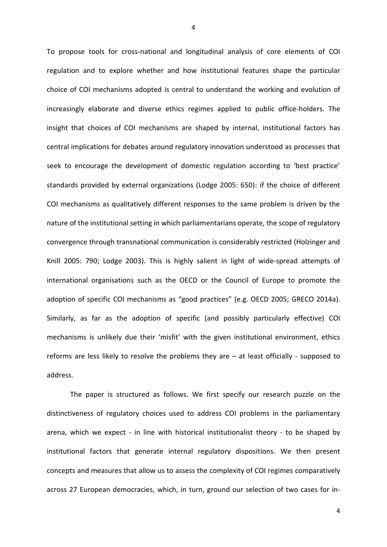To propose tools for cross-national and longitudinal analysis of core elements of COI regulation and to explore whether and how institutional features shape the particular choice of COI mechanisms adopted is central to understand the working and evolution of increasingly elaborate and diverse ethics regimes applied to public office-holders. The insight that choices of COI mechanisms are shaped by internal, institutional factors has central implications for debates around regulatory innovation understood as processes that seek to encourage the development of domestic regulation according to 'best practice' standards provided by external organizations (Lodge 2005: 650): if the choice of different COI mechanisms as qualitatively different responses to the same problem is driven by the nature of the institutional setting in which parliamentarians operate, the scope of regulatory convergence through transnational communication is considerably restricted (Holzinger and Knill 2005: 790; Lodge 2003). This is highly salient in light of wide-spread attempts of international organisations such as the OECD or the Council of Europe to promote the adoption of specific COI mechanisms as "good practices" (e.g. OECD 2005; GRECO 2014a). Similarly, as far as the adoption of specific (and possibly particularly effective) COI mechanisms is unlikely due their 'misfit' with the given institutional environment, ethics reforms are less likely to resolve the problems they are – at least officially - supposed to address.

The paper is structured as follows. We first specify our research puzzle on the distinctiveness of regulatory choices used to address COI problems in the parliamentary arena, which we expect - in line with historical institutionalist theory - to be shaped by institutional factors that generate internal regulatory dispositions. We then present concepts and measures that allow us to assess the complexity of COI regimes comparatively across 27 European democracies, which, in turn, ground our selection of two cases for in-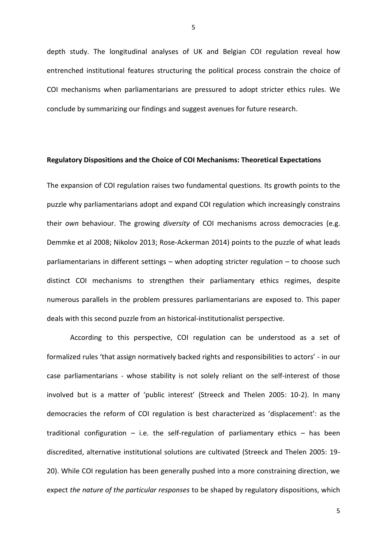depth study. The longitudinal analyses of UK and Belgian COI regulation reveal how entrenched institutional features structuring the political process constrain the choice of COI mechanisms when parliamentarians are pressured to adopt stricter ethics rules. We conclude by summarizing our findings and suggest avenues for future research.

## **Regulatory Dispositions and the Choice of COI Mechanisms: Theoretical Expectations**

The expansion of COI regulation raises two fundamental questions. Its growth points to the puzzle why parliamentarians adopt and expand COI regulation which increasingly constrains their *own* behaviour. The growing *diversity* of COI mechanisms across democracies (e.g. Demmke et al 2008; Nikolov 2013; Rose-Ackerman 2014) points to the puzzle of what leads parliamentarians in different settings – when adopting stricter regulation – to choose such distinct COI mechanisms to strengthen their parliamentary ethics regimes, despite numerous parallels in the problem pressures parliamentarians are exposed to. This paper deals with this second puzzle from an historical-institutionalist perspective.

According to this perspective, COI regulation can be understood as a set of formalized rules 'that assign normatively backed rights and responsibilities to actors' - in our case parliamentarians - whose stability is not solely reliant on the self-interest of those involved but is a matter of 'public interest' (Streeck and Thelen 2005: 10-2). In many democracies the reform of COI regulation is best characterized as 'displacement': as the traditional configuration  $-$  i.e. the self-regulation of parliamentary ethics  $-$  has been discredited, alternative institutional solutions are cultivated (Streeck and Thelen 2005: 19- 20). While COI regulation has been generally pushed into a more constraining direction, we expect *the nature of the particular responses* to be shaped by regulatory dispositions, which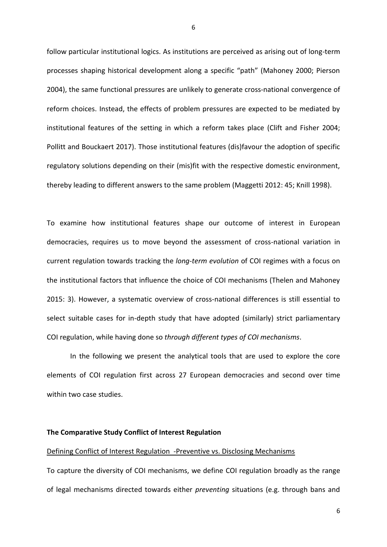follow particular institutional logics. As institutions are perceived as arising out of long-term processes shaping historical development along a specific "path" (Mahoney 2000; Pierson 2004), the same functional pressures are unlikely to generate cross-national convergence of reform choices. Instead, the effects of problem pressures are expected to be mediated by institutional features of the setting in which a reform takes place (Clift and Fisher 2004; Pollitt and Bouckaert 2017). Those institutional features (dis)favour the adoption of specific regulatory solutions depending on their (mis)fit with the respective domestic environment, thereby leading to different answers to the same problem (Maggetti 2012: 45; Knill 1998).

To examine how institutional features shape our outcome of interest in European democracies, requires us to move beyond the assessment of cross-national variation in current regulation towards tracking the *long-term evolution* of COI regimes with a focus on the institutional factors that influence the choice of COI mechanisms (Thelen and Mahoney 2015: 3). However, a systematic overview of cross-national differences is still essential to select suitable cases for in-depth study that have adopted (similarly) strict parliamentary COI regulation, while having done so *through different types of COI mechanisms*.

In the following we present the analytical tools that are used to explore the core elements of COI regulation first across 27 European democracies and second over time within two case studies.

## **The Comparative Study Conflict of Interest Regulation**

#### Defining Conflict of Interest Regulation -Preventive vs. Disclosing Mechanisms

To capture the diversity of COI mechanisms, we define COI regulation broadly as the range of legal mechanisms directed towards either *preventing* situations (e.g. through bans and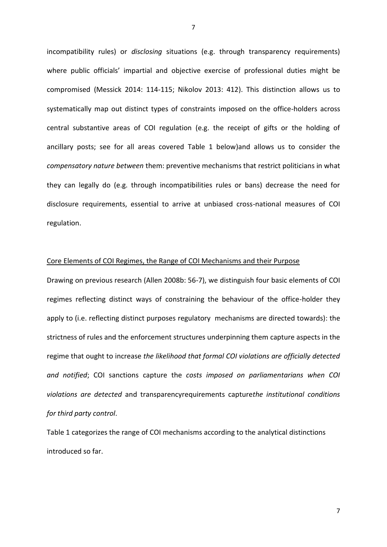incompatibility rules) or *disclosing* situations (e.g. through transparency requirements) where public officials' impartial and objective exercise of professional duties might be compromised (Messick 2014: 114-115; Nikolov 2013: 412). This distinction allows us to systematically map out distinct types of constraints imposed on the office-holders across central substantive areas of COI regulation (e.g. the receipt of gifts or the holding of ancillary posts; see for all areas covered Table 1 below)and allows us to consider the *compensatory nature between* them: preventive mechanisms that restrict politicians in what they can legally do (e.g. through incompatibilities rules or bans) decrease the need for disclosure requirements, essential to arrive at unbiased cross-national measures of COI regulation.

## Core Elements of COI Regimes, the Range of COI Mechanisms and their Purpose

Drawing on previous research (Allen 2008b: 56-7), we distinguish four basic elements of COI regimes reflecting distinct ways of constraining the behaviour of the office-holder they apply to (i.e. reflecting distinct purposes regulatory mechanisms are directed towards): the strictness of rules and the enforcement structures underpinning them capture aspects in the regime that ought to increase *the likelihood that formal COI violations are officially detected and notified*; COI sanctions capture the *costs imposed on parliamentarians when COI violations are detected* and transparencyrequirements capture*the institutional conditions for third party control*.

Table 1 categorizes the range of COI mechanisms according to the analytical distinctions introduced so far.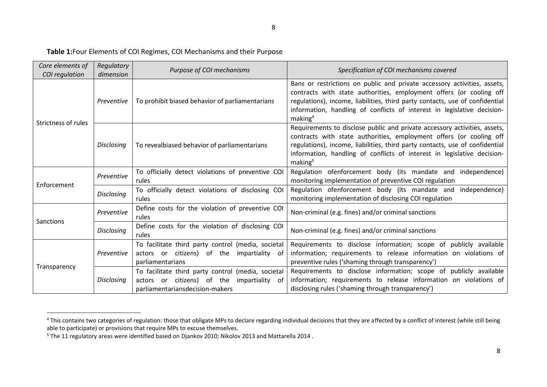# **Table 1:**Four Elements of COI Regimes, COI Mechanisms and their Purpose

| Core elements of<br>COI regulation | Regulatory<br>dimension | Purpose of COI mechanisms                                                                                                              | Specification of COI mechanisms covered                                                                                                                                                                                                                                                                                            |
|------------------------------------|-------------------------|----------------------------------------------------------------------------------------------------------------------------------------|------------------------------------------------------------------------------------------------------------------------------------------------------------------------------------------------------------------------------------------------------------------------------------------------------------------------------------|
| Strictness of rules                | Preventive              | To prohibit biased behavior of parliamentarians                                                                                        | Bans or restrictions on public and private accessory activities, assets,<br>contracts with state authorities, employment offers (or cooling off<br>regulations), income, liabilities, third party contacts, use of confidential<br>information, handling of conflicts of interest in legislative decision-<br>making <sup>4</sup>  |
|                                    | <b>Disclosing</b>       | To revealbiased behavior of parliamentarians                                                                                           | Requirements to disclose public and private accessory activities, assets,<br>contracts with state authorities, employment offers (or cooling off<br>regulations), income, liabilities, third party contacts, use of confidential<br>information, handling of conflicts of interest in legislative decision-<br>making <sup>5</sup> |
| Enforcement                        | Preventive              | To officially detect violations of preventive COI<br>rules                                                                             | Regulation ofenforcement body (its mandate and independence)<br>monitoring implementation of preventive COI regulation                                                                                                                                                                                                             |
|                                    | <b>Disclosing</b>       | To officially detect violations of disclosing COI<br>rules                                                                             | Regulation ofenforcement body (its mandate and independence)<br>monitoring implementation of disclosing COI regulation                                                                                                                                                                                                             |
| <b>Sanctions</b>                   | Preventive              | Define costs for the violation of preventive COI<br>rules                                                                              | Non-criminal (e.g. fines) and/or criminal sanctions                                                                                                                                                                                                                                                                                |
|                                    | <b>Disclosing</b>       | Define costs for the violation of disclosing COI<br>rules                                                                              | Non-criminal (e.g. fines) and/or criminal sanctions                                                                                                                                                                                                                                                                                |
| Transparency                       | Preventive              | To facilitate third party control (media, societal<br>actors or citizens) of the<br>impartiality<br>. of<br>parliamentarians           | Requirements to disclose information; scope of publicly available<br>information; requirements to release information on violations of<br>preventive rules ('shaming through transparency')                                                                                                                                        |
|                                    | <b>Disclosing</b>       | To facilitate third party control (media, societal<br>actors or citizens) of the<br>impartiality of<br>parliamentariansdecision-makers | Requirements to disclose information; scope of publicly available<br>information; requirements to release information on violations of<br>disclosing rules ('shaming through transparency')                                                                                                                                        |

 $\overline{\phantom{a}}$ 

<sup>&</sup>lt;sup>4</sup> This contains two categories of regulation: those that obligate MPs to declare regarding individual decisions that they are affected by a conflict of interest (while still being able to participate) or provisions that require MPs to excuse themselves.

<sup>5</sup> The 11 regulatory areas were identified based on Djankov 2010; Nikolov 2013 and Mattarella 2014 .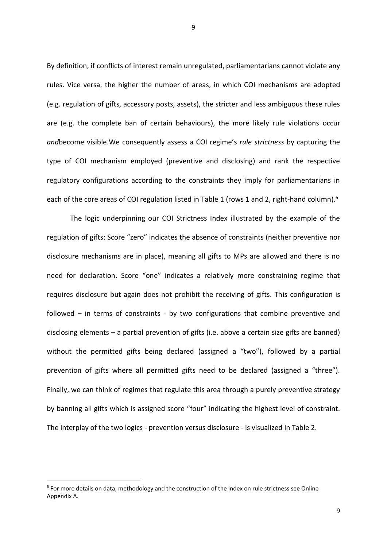By definition, if conflicts of interest remain unregulated, parliamentarians cannot violate any rules. Vice versa, the higher the number of areas, in which COI mechanisms are adopted (e.g. regulation of gifts, accessory posts, assets), the stricter and less ambiguous these rules are (e.g. the complete ban of certain behaviours), the more likely rule violations occur *and*become visible.We consequently assess a COI regime's *rule strictness* by capturing the type of COI mechanism employed (preventive and disclosing) and rank the respective regulatory configurations according to the constraints they imply for parliamentarians in each of the core areas of COI regulation listed in Table 1 (rows 1 and 2, right-hand column).<sup>6</sup>

The logic underpinning our COI Strictness Index illustrated by the example of the regulation of gifts: Score "zero" indicates the absence of constraints (neither preventive nor disclosure mechanisms are in place), meaning all gifts to MPs are allowed and there is no need for declaration. Score "one" indicates a relatively more constraining regime that requires disclosure but again does not prohibit the receiving of gifts. This configuration is followed – in terms of constraints - by two configurations that combine preventive and disclosing elements – a partial prevention of gifts (i.e. above a certain size gifts are banned) without the permitted gifts being declared (assigned a "two"), followed by a partial prevention of gifts where all permitted gifts need to be declared (assigned a "three"). Finally, we can think of regimes that regulate this area through a purely preventive strategy by banning all gifts which is assigned score "four" indicating the highest level of constraint. The interplay of the two logics - prevention versus disclosure - is visualized in Table 2.

<sup>&</sup>lt;sup>6</sup> For more details on data, methodology and the construction of the index on rule strictness see Online Appendix A.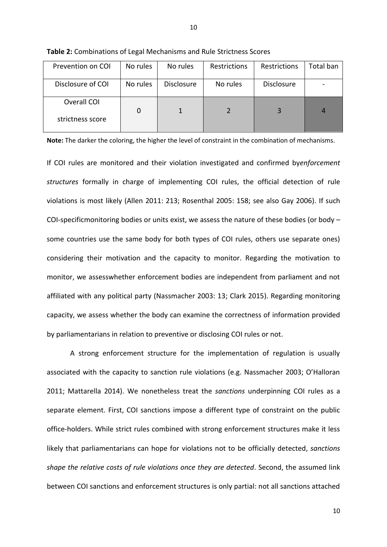| Prevention on COI               | No rules | No rules          | <b>Restrictions</b> | Restrictions      | Total ban |
|---------------------------------|----------|-------------------|---------------------|-------------------|-----------|
| Disclosure of COI               | No rules | <b>Disclosure</b> | No rules            | <b>Disclosure</b> |           |
| Overall COI<br>strictness score |          |                   |                     |                   | 4         |

**Table 2:** Combinations of Legal Mechanisms and Rule Strictness Scores

**Note:** The darker the coloring, the higher the level of constraint in the combination of mechanisms.

If COI rules are monitored and their violation investigated and confirmed by*enforcement structures* formally in charge of implementing COI rules, the official detection of rule violations is most likely (Allen 2011: 213; Rosenthal 2005: 158; see also Gay 2006). If such COI-specificmonitoring bodies or units exist, we assess the nature of these bodies (or body – some countries use the same body for both types of COI rules, others use separate ones) considering their motivation and the capacity to monitor. Regarding the motivation to monitor, we assesswhether enforcement bodies are independent from parliament and not affiliated with any political party (Nassmacher 2003: 13; Clark 2015). Regarding monitoring capacity, we assess whether the body can examine the correctness of information provided by parliamentarians in relation to preventive or disclosing COI rules or not.

A strong enforcement structure for the implementation of regulation is usually associated with the capacity to sanction rule violations (e.g. Nassmacher 2003; O'Halloran 2011; Mattarella 2014). We nonetheless treat the *sanctions* underpinning COI rules as a separate element. First, COI sanctions impose a different type of constraint on the public office-holders. While strict rules combined with strong enforcement structures make it less likely that parliamentarians can hope for violations not to be officially detected, *sanctions shape the relative costs of rule violations once they are detected*. Second, the assumed link between COI sanctions and enforcement structures is only partial: not all sanctions attached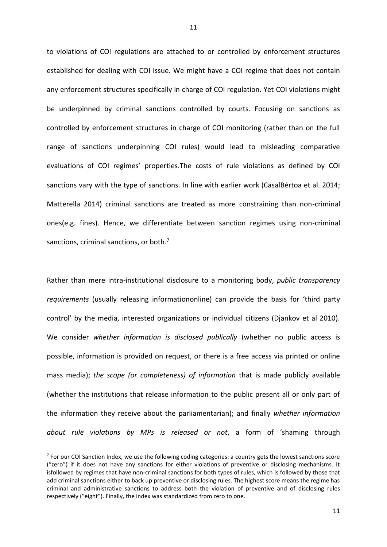to violations of COI regulations are attached to or controlled by enforcement structures established for dealing with COI issue. We might have a COI regime that does not contain any enforcement structures specifically in charge of COI regulation. Yet COI violations might be underpinned by criminal sanctions controlled by courts. Focusing on sanctions as controlled by enforcement structures in charge of COI monitoring (rather than on the full range of sanctions underpinning COI rules) would lead to misleading comparative evaluations of COI regimes' properties.The costs of rule violations as defined by COI sanctions vary with the type of sanctions. In line with earlier work (CasalBértoa et al. 2014; Matterella 2014) criminal sanctions are treated as more constraining than non-criminal ones(e.g. fines). Hence, we differentiate between sanction regimes using non-criminal sanctions, criminal sanctions, or both.<sup>7</sup>

Rather than mere intra-institutional disclosure to a monitoring body, *public transparency requirements* (usually releasing informationonline) can provide the basis for 'third party control' by the media, interested organizations or individual citizens (Djankov et al 2010). We consider *whether information is disclosed publically* (whether no public access is possible, information is provided on request, or there is a free access via printed or online mass media); *the scope (or completeness) of information* that is made publicly available (whether the institutions that release information to the public present all or only part of the information they receive about the parliamentarian); and finally *whether information about rule violations by MPs is released or not*, a form of 'shaming through

<sup>&</sup>lt;sup>7</sup> For our COI Sanction Index, we use the following coding categories: a country gets the lowest sanctions score ("zero") if it does not have any sanctions for either violations of preventive or disclosing mechanisms. It isfollowed by regimes that have non-criminal sanctions for both types of rules, which is followed by those that add criminal sanctions either to back up preventive or disclosing rules. The highest score means the regime has criminal and administrative sanctions to address both the violation of preventive and of disclosing rules respectively ("eight"). Finally, the index was standardized from zero to one.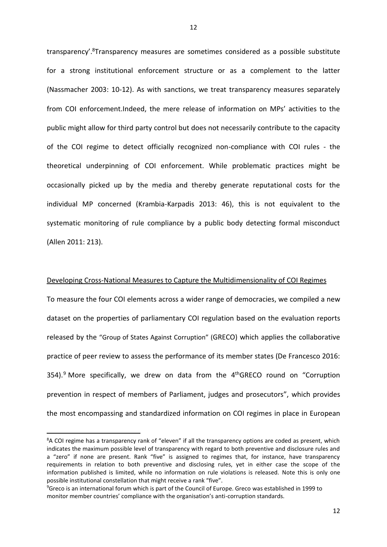transparency'.<sup>8</sup>Transparency measures are sometimes considered as a possible substitute for a strong institutional enforcement structure or as a complement to the latter (Nassmacher 2003: 10-12). As with sanctions, we treat transparency measures separately from COI enforcement.Indeed, the mere release of information on MPs' activities to the public might allow for third party control but does not necessarily contribute to the capacity of the COI regime to detect officially recognized non-compliance with COI rules - the theoretical underpinning of COI enforcement. While problematic practices might be occasionally picked up by the media and thereby generate reputational costs for the individual MP concerned (Krambia-Karpadis 2013: 46), this is not equivalent to the systematic monitoring of rule compliance by a public body detecting formal misconduct (Allen 2011: 213).

### Developing Cross-National Measures to Capture the Multidimensionality of COI Regimes

To measure the four COI elements across a wider range of democracies, we compiled a new dataset on the properties of parliamentary COI regulation based on the evaluation reports released by the "[Group of States Against Corruption](https://en.wikipedia.org/wiki/Group_of_States_Against_Corruption)" (GRECO) which applies the collaborative practice of peer review to assess the performance of its member states (De Francesco 2016: 354).<sup>9</sup> More specifically, we drew on data from the  $4<sup>th</sup>$ GRECO round on "Corruption prevention in respect of members of Parliament, judges and prosecutors", which provides the most encompassing and standardized information on COI regimes in place in European

<sup>&</sup>lt;sup>8</sup>A COI regime has a transparency rank of "eleven" if all the transparency options are coded as present, which indicates the maximum possible level of transparency with regard to both preventive and disclosure rules and a "zero" if none are present. Rank "five" is assigned to regimes that, for instance, have transparency requirements in relation to both preventive and disclosing rules, yet in either case the scope of the information published is limited, while no information on rule violations is released. Note this is only one possible institutional constellation that might receive a rank "five".

<sup>9</sup>Greco is an international forum which is part of the Council of Europe. Greco was established in 1999 to monitor member countries' compliance with the organisation's anti-corruption standards.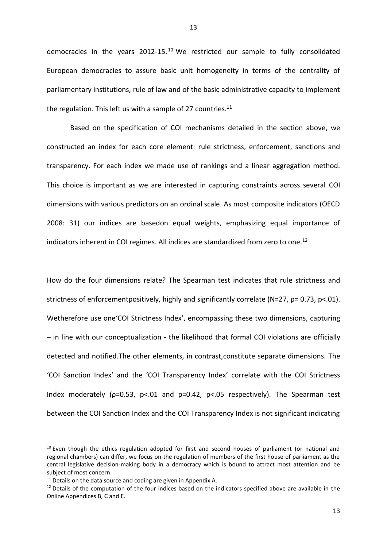democracies in the years 2012-15. <sup>10</sup> We restricted our sample to fully consolidated European democracies to assure basic unit homogeneity in terms of the centrality of parliamentary institutions, rule of law and of the basic administrative capacity to implement the regulation. This left us with a sample of 27 countries. $11$ 

Based on the specification of COI mechanisms detailed in the section above, we constructed an index for each core element: rule strictness, enforcement, sanctions and transparency. For each index we made use of rankings and a linear aggregation method. This choice is important as we are interested in capturing constraints across several COI dimensions with various predictors on an ordinal scale. As most composite indicators (OECD 2008: 31) our indices are basedon equal weights, emphasizing equal importance of indicators inherent in COI regimes. All indices are standardized from zero to one.<sup>12</sup>

How do the four dimensions relate? The Spearman test indicates that rule strictness and strictness of enforcementpositively, highly and significantly correlate (N=27, ρ= 0.73, p<.01). Wetherefore use one'COI Strictness Index', encompassing these two dimensions, capturing – in line with our conceptualization - the likelihood that formal COI violations are officially detected and notified.The other elements, in contrast,constitute separate dimensions. The 'COI Sanction Index' and the 'COI Transparency Index' correlate with the COI Strictness Index moderately (p=0.53, p<.01 and p=0.42, p<.05 respectively). The Spearman test between the COI Sanction Index and the COI Transparency Index is not significant indicating

 $\overline{\phantom{a}}$ 

 $10$  Even though the ethics regulation adopted for first and second houses of parliament (or national and regional chambers) can differ, we focus on the regulation of members of the first house of parliament as the central legislative decision-making body in a democracy which is bound to attract most attention and be subject of most concern.

 $11$  Details on the data source and coding are given in Appendix A.

 $12$  Details of the computation of the four indices based on the indicators specified above are available in the Online Appendices B, C and E.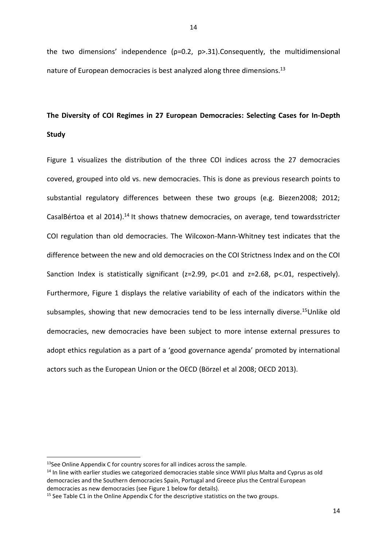the two dimensions' independence (ρ=0.2, p>.31).Consequently, the multidimensional nature of European democracies is best analyzed along three dimensions.<sup>13</sup>

# **The Diversity of COI Regimes in 27 European Democracies: Selecting Cases for In-Depth Study**

Figure 1 visualizes the distribution of the three COI indices across the 27 democracies covered, grouped into old vs. new democracies. This is done as previous research points to substantial regulatory differences between these two groups (e.g. Biezen2008; 2012; CasalBértoa et al 2014).<sup>14</sup> It shows thatnew democracies, on average, tend towardsstricter COI regulation than old democracies. The Wilcoxon-Mann-Whitney test indicates that the difference between the new and old democracies on the COI Strictness Index and on the COI Sanction Index is statistically significant (z=2.99, p<.01 and z=2.68, p<.01, respectively). Furthermore, Figure 1 displays the relative variability of each of the indicators within the subsamples, showing that new democracies tend to be less internally diverse.<sup>15</sup>Unlike old democracies, new democracies have been subject to more intense external pressures to adopt ethics regulation as a part of a 'good governance agenda' promoted by international actors such as the European Union or the OECD (Börzel et al 2008; OECD 2013).

 $\overline{\phantom{a}}$ 

<sup>&</sup>lt;sup>13</sup>See Online Appendix C for country scores for all indices across the sample.

<sup>&</sup>lt;sup>14</sup> In line with earlier studies we categorized democracies stable since WWII plus Malta and Cyprus as old democracies and the Southern democracies Spain, Portugal and Greece plus the Central European democracies as new democracies (see Figure 1 below for details).

 $15$  See Table C1 in the Online Appendix C for the descriptive statistics on the two groups.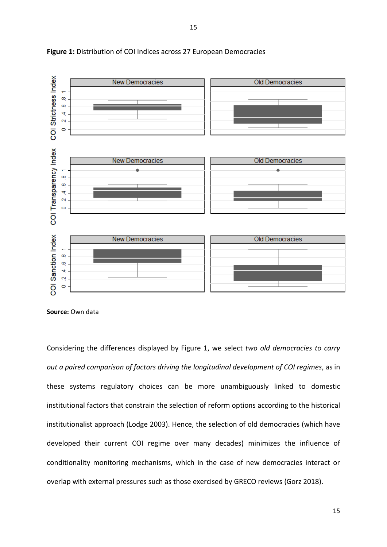



**Source:** Own data

Considering the differences displayed by Figure 1, we select *two old democracies to carry out a paired comparison of factors driving the longitudinal development of COI regimes*, as in these systems regulatory choices can be more unambiguously linked to domestic institutional factors that constrain the selection of reform options according to the historical institutionalist approach (Lodge 2003). Hence, the selection of old democracies (which have developed their current COI regime over many decades) minimizes the influence of conditionality monitoring mechanisms, which in the case of new democracies interact or overlap with external pressures such as those exercised by GRECO reviews (Gorz 2018).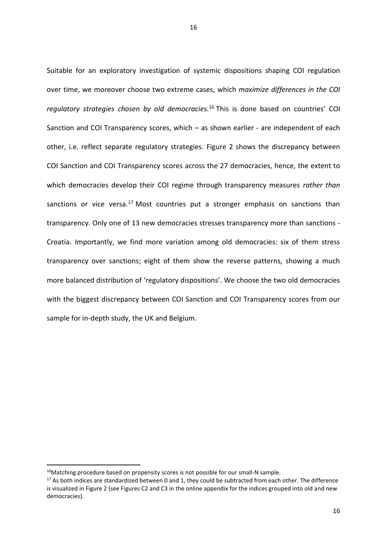Suitable for an exploratory investigation of systemic dispositions shaping COI regulation over time, we moreover choose two extreme cases, which *maximize differences in the COI regulatory strategies chosen by old democracies.*<sup>16</sup> This is done based on countries' COI Sanction and COI Transparency scores, which – as shown earlier - are independent of each other, i.e. reflect separate regulatory strategies. Figure 2 shows the discrepancy between COI Sanction and COI Transparency scores across the 27 democracies, hence, the extent to which democracies develop their COI regime through transparency measures *rather than* sanctions or vice versa.<sup>17</sup> Most countries put a stronger emphasis on sanctions than transparency. Only one of 13 new democracies stresses transparency more than sanctions - Croatia. Importantly, we find more variation among old democracies: six of them stress transparency over sanctions; eight of them show the reverse patterns, showing a much more balanced distribution of 'regulatory dispositions'. We choose the two old democracies with the biggest discrepancy between COI Sanction and COI Transparency scores from our sample for in-depth study, the UK and Belgium.

<sup>&</sup>lt;sup>16</sup>Matching procedure based on propensity scores is not possible for our small-N sample.

<sup>&</sup>lt;sup>17</sup> As both indices are standardized between 0 and 1, they could be subtracted from each other. The difference is visualized in Figure 2 (see Figures C2 and C3 in the online appendix for the indices grouped into old and new democracies).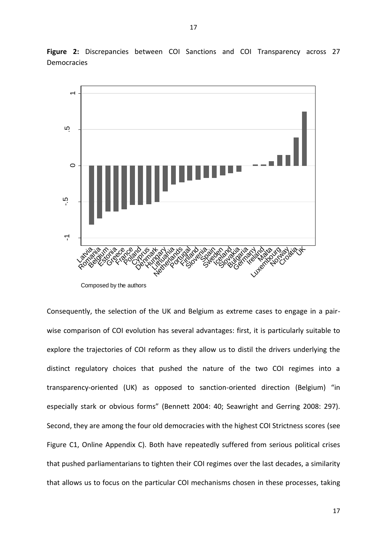

**Figure 2:** Discrepancies between COI Sanctions and COI Transparency across 27 Democracies

Composed by the authors

Consequently, the selection of the UK and Belgium as extreme cases to engage in a pairwise comparison of COI evolution has several advantages: first, it is particularly suitable to explore the trajectories of COI reform as they allow us to distil the drivers underlying the distinct regulatory choices that pushed the nature of the two COI regimes into a transparency-oriented (UK) as opposed to sanction-oriented direction (Belgium) "in especially stark or obvious forms" (Bennett 2004: 40; Seawright and Gerring 2008: 297). Second, they are among the four old democracies with the highest COI Strictness scores (see Figure C1, Online Appendix C). Both have repeatedly suffered from serious political crises that pushed parliamentarians to tighten their COI regimes over the last decades, a similarity that allows us to focus on the particular COI mechanisms chosen in these processes, taking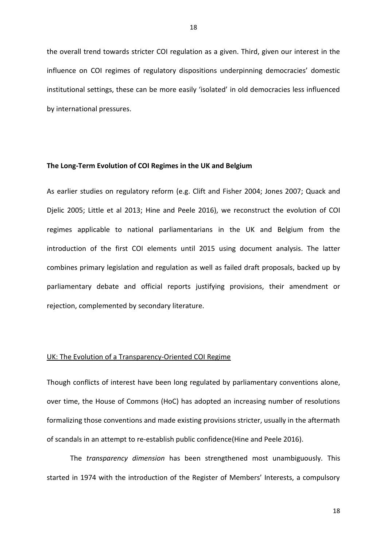the overall trend towards stricter COI regulation as a given. Third, given our interest in the influence on COI regimes of regulatory dispositions underpinning democracies' domestic institutional settings, these can be more easily 'isolated' in old democracies less influenced by international pressures.

#### **The Long-Term Evolution of COI Regimes in the UK and Belgium**

As earlier studies on regulatory reform (e.g. Clift and Fisher 2004; Jones 2007; Quack and Djelic 2005; Little et al 2013; Hine and Peele 2016), we reconstruct the evolution of COI regimes applicable to national parliamentarians in the UK and Belgium from the introduction of the first COI elements until 2015 using document analysis. The latter combines primary legislation and regulation as well as failed draft proposals, backed up by parliamentary debate and official reports justifying provisions, their amendment or rejection, complemented by secondary literature.

#### UK: The Evolution of a Transparency-Oriented COI Regime

Though conflicts of interest have been long regulated by parliamentary conventions alone, over time, the House of Commons (HoC) has adopted an increasing number of resolutions formalizing those conventions and made existing provisions stricter, usually in the aftermath of scandals in an attempt to re-establish public confidence(Hine and Peele 2016).

The *transparency dimension* has been strengthened most unambiguously. This started in 1974 with the introduction of the Register of Members' Interests, a compulsory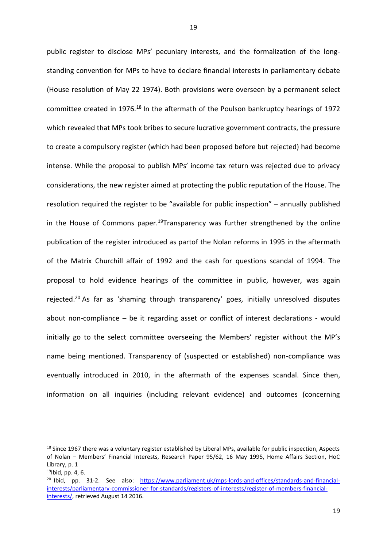public register to disclose MPs' pecuniary interests, and the formalization of the longstanding convention for MPs to have to declare financial interests in parliamentary debate (House resolution of May 22 1974). Both provisions were overseen by a permanent select committee created in 1976.<sup>18</sup> In the aftermath of the Poulson bankruptcy hearings of 1972 which revealed that MPs took bribes to secure lucrative government contracts, the pressure to create a compulsory register (which had been proposed before but rejected) had become intense. While the proposal to publish MPs' income tax return was rejected due to privacy considerations, the new register aimed at protecting the public reputation of the House. The resolution required the register to be "available for public inspection" – annually published in the House of Commons paper.<sup>19</sup>Transparency was further strengthened by the online publication of the register introduced as partof the Nolan reforms in 1995 in the aftermath of the Matrix Churchill affair of 1992 and the cash for questions scandal of 1994. The proposal to hold evidence hearings of the committee in public, however, was again rejected.<sup>20</sup> As far as 'shaming through transparency' goes, initially unresolved disputes about non-compliance – be it regarding asset or conflict of interest declarations - would initially go to the select committee overseeing the Members' register without the MP's name being mentioned. Transparency of (suspected or established) non-compliance was eventually introduced in 2010, in the aftermath of the expenses scandal. Since then, information on all inquiries (including relevant evidence) and outcomes (concerning

 $\overline{\phantom{a}}$ 

<sup>&</sup>lt;sup>18</sup> Since 1967 there was a voluntary register established by Liberal MPs, available for public inspection, Aspects of Nolan – Members' Financial Interests, Research Paper 95/62, 16 May 1995, Home Affairs Section, HoC Library, p. 1

 $19$ Ibid, pp. 4, 6.

<sup>&</sup>lt;sup>20</sup> Ibid, pp. 31-2. See also: [https://www.parliament.uk/mps-lords-and-offices/standards-and-financial](https://www.parliament.uk/mps-lords-and-offices/standards-and-financial-interests/parliamentary-commissioner-for-standards/registers-of-interests/register-of-members-financial-interests/)[interests/parliamentary-commissioner-for-standards/registers-of-interests/register-of-members-financial](https://www.parliament.uk/mps-lords-and-offices/standards-and-financial-interests/parliamentary-commissioner-for-standards/registers-of-interests/register-of-members-financial-interests/)[interests/,](https://www.parliament.uk/mps-lords-and-offices/standards-and-financial-interests/parliamentary-commissioner-for-standards/registers-of-interests/register-of-members-financial-interests/) retrieved August 14 2016.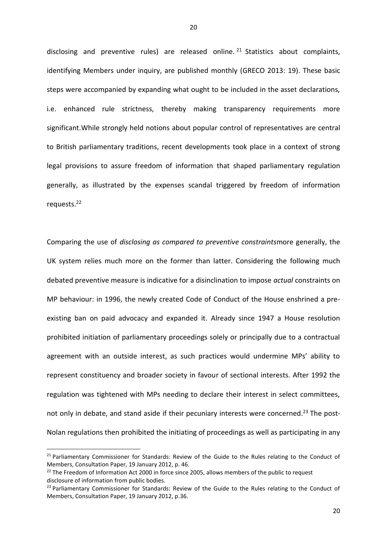disclosing and preventive rules) are released online. <sup>21</sup> Statistics about complaints, identifying Members under inquiry, are published monthly (GRECO 2013: 19). These basic steps were accompanied by expanding what ought to be included in the asset declarations, i.e. enhanced rule strictness, thereby making transparency requirements more significant.While strongly held notions about popular control of representatives are central to British parliamentary traditions, recent developments took place in a context of strong legal provisions to assure freedom of information that shaped parliamentary regulation generally, as illustrated by the expenses scandal triggered by freedom of information requests. 22

Comparing the use of *disclosing as compared to preventive constraints*more generally, the UK system relies much more on the former than latter. Considering the following much debated preventive measure is indicative for a disinclination to impose *actual* constraints on MP behaviour: in 1996, the newly created Code of Conduct of the House enshrined a preexisting ban on paid advocacy and expanded it. Already since 1947 a House resolution prohibited initiation of parliamentary proceedings solely or principally due to a contractual agreement with an outside interest, as such practices would undermine MPs' ability to represent constituency and broader society in favour of sectional interests. After 1992 the regulation was tightened with MPs needing to declare their interest in select committees, not only in debate, and stand aside if their pecuniary interests were concerned.<sup>23</sup> The post-Nolan regulations then prohibited the initiating of proceedings as well as participating in any

<sup>&</sup>lt;sup>21</sup> Parliamentary Commissioner for Standards: Review of the Guide to the Rules relating to the Conduct of Members, Consultation Paper, 19 January 2012, p. 46.

<sup>&</sup>lt;sup>22</sup> The [Freedom of Information Act 2000](https://en.wikipedia.org/wiki/Freedom_of_Information_Act_2000) in force since 2005, allows members of the public to request disclosure of information from public bodies.

<sup>&</sup>lt;sup>23</sup> Parliamentary Commissioner for Standards: Review of the Guide to the Rules relating to the Conduct of Members, Consultation Paper, 19 January 2012, p.36.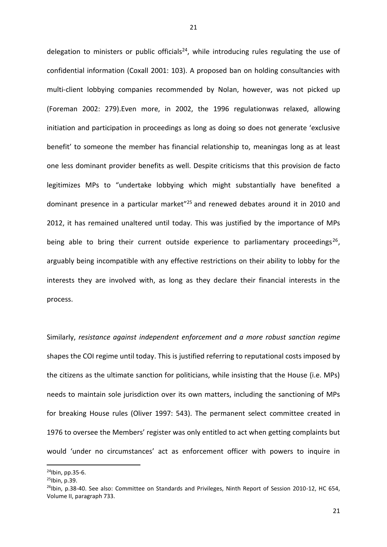delegation to ministers or public officials<sup>24</sup>, while introducing rules regulating the use of confidential information (Coxall 2001: 103). A proposed ban on holding consultancies with multi-client lobbying companies recommended by Nolan, however, was not picked up (Foreman 2002: 279).Even more, in 2002, the 1996 regulationwas relaxed, allowing initiation and participation in proceedings as long as doing so does not generate 'exclusive benefit' to someone the member has financial relationship to, meaningas long as at least one less dominant provider benefits as well. Despite criticisms that this provision de facto legitimizes MPs to "undertake lobbying which might substantially have benefited a dominant presence in a particular market"<sup>25</sup> and renewed debates around it in 2010 and 2012, it has remained unaltered until today. This was justified by the importance of MPs being able to bring their current outside experience to parliamentary proceedings<sup>26</sup>, arguably being incompatible with any effective restrictions on their ability to lobby for the interests they are involved with, as long as they declare their financial interests in the process.

Similarly, *resistance against independent enforcement and a more robust sanction regime* shapes the COI regime until today. This is justified referring to reputational costs imposed by the citizens as the ultimate sanction for politicians, while insisting that the House (i.e. MPs) needs to maintain sole jurisdiction over its own matters, including the sanctioning of MPs for breaking House rules (Oliver 1997: 543). The permanent select committee created in 1976 to oversee the Members' register was only entitled to act when getting complaints but would 'under no circumstances' act as enforcement officer with powers to inquire in

<sup>24</sup>Ibin, pp.35-6.

<sup>25</sup>Ibin, p.39.

 $^{26}$ Ibin, p.38-40. See also: Committee on Standards and Privileges, Ninth Report of Session 2010-12, HC 654, Volume II, paragraph 733.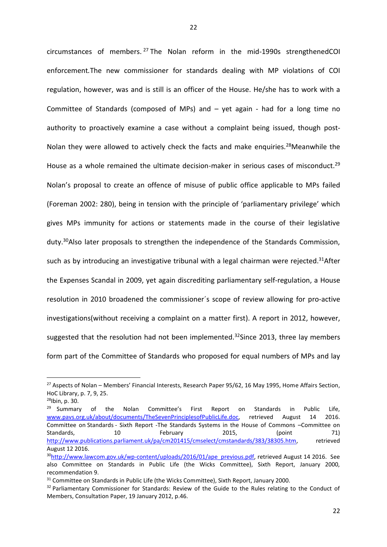circumstances of members. <sup>27</sup> The Nolan reform in the mid-1990s strengthenedCOI enforcement*.*The new commissioner for standards dealing with MP violations of COI regulation, however, was and is still is an officer of the House. He/she has to work with a Committee of Standards (composed of MPs) and – yet again - had for a long time no authority to proactively examine a case without a complaint being issued, though post-Nolan they were allowed to actively check the facts and make enquiries.<sup>28</sup>Meanwhile the House as a whole remained the ultimate decision-maker in serious cases of misconduct.<sup>29</sup> Nolan's proposal to create an offence of misuse of public office applicable to MPs failed (Foreman 2002: 280), being in tension with the principle of 'parliamentary privilege' which gives MPs immunity for actions or statements made in the course of their legislative duty.<sup>30</sup>Also later proposals to strengthen the independence of the Standards Commission, such as by introducing an investigative tribunal with a legal chairman were rejected.<sup>31</sup>After the Expenses Scandal in 2009, yet again discrediting parliamentary self-regulation, a House resolution in 2010 broadened the commissioner´s scope of review allowing for pro-active investigations(without receiving a complaint on a matter first). A report in 2012, however, suggested that the resolution had not been implemented.<sup>32</sup>Since 2013, three lay members form part of the Committee of Standards who proposed for equal numbers of MPs and lay

<sup>&</sup>lt;sup>27</sup> Aspects of Nolan – Members' Financial Interests, Research Paper 95/62, 16 May 1995, Home Affairs Section, HoC Library, p. 7, 9, 25.

<sup>28</sup>Ibin, p. 30.

<sup>&</sup>lt;sup>29</sup> Summary of the Nolan Committee's First Report on Standards in Public Life, [www.pavs.org.uk/about/documents/TheSevenPrinciplesofPublicLife.doc,](http://www.pavs.org.uk/about/documents/TheSevenPrinciplesofPublicLife.doc) retrieved August 14 2016. Committee on Standards - Sixth Report -The Standards Systems in the House of Commons –Committee on Standards, 10 February 2015, (point 71) [http://www.publications.parliament.uk/pa/cm201415/cmselect/cmstandards/383/38305.htm,](http://www.publications.parliament.uk/pa/cm201415/cmselect/cmstandards/383/38305.htm) retrieved August 12 2016.

<sup>&</sup>lt;sup>30</sup>[http://www.lawcom.gov.uk/wp-content/uploads/2016/01/ape\\_previous.pdf,](http://www.lawcom.gov.uk/wp-content/uploads/2016/01/ape_previous.pdf) retrieved August 14 2016. See also Committee on Standards in Public Life (the Wicks Committee), Sixth Report, January 2000, recommendation 9.

<sup>&</sup>lt;sup>31</sup> Committee on Standards in Public Life (the Wicks Committee), Sixth Report, January 2000.

<sup>&</sup>lt;sup>32</sup> Parliamentary Commissioner for Standards: Review of the Guide to the Rules relating to the Conduct of Members, Consultation Paper, 19 January 2012, p.46.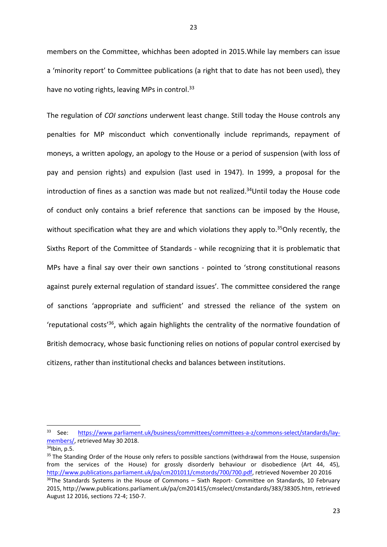members on the Committee, whichhas been adopted in 2015.While lay members can issue a 'minority report' to Committee publications (a right that to date has not been used), they have no voting rights, leaving MPs in control.<sup>33</sup>

The regulation of *COI sanctions* underwent least change. Still today the House controls any penalties for MP misconduct which conventionally include reprimands, repayment of moneys, a written apology, an apology to the House or a period of suspension (with loss of pay and pension rights) and expulsion (last used in 1947). In 1999, a proposal for the introduction of fines as a sanction was made but not realized. <sup>34</sup>Until today the House code of conduct only contains a brief reference that sanctions can be imposed by the House, without specification what they are and which violations they apply to.<sup>35</sup>Only recently, the Sixths Report of the Committee of Standards - while recognizing that it is problematic that MPs have a final say over their own sanctions - pointed to 'strong constitutional reasons against purely external regulation of standard issues'. The committee considered the range of sanctions 'appropriate and sufficient' and stressed the reliance of the system on 'reputational costs' <sup>36</sup>, which again highlights the centrality of the normative foundation of British democracy, whose basic functioning relies on notions of popular control exercised by citizens, rather than institutional checks and balances between institutions.

<sup>33</sup> See: [https://www.parliament.uk/business/committees/committees-a-z/commons-select/standards/lay](https://www.parliament.uk/business/committees/committees-a-z/commons-select/standards/lay-members/)[members/,](https://www.parliament.uk/business/committees/committees-a-z/commons-select/standards/lay-members/) retrieved May 30 2018.

 $34$ Ibin, p.5.

<sup>&</sup>lt;sup>35</sup> The Standing Order of the House only refers to possible sanctions (withdrawal from the House, suspension from the services of the House) for grossly disorderly behaviour or disobedience (Art 44, 45), [http://www.publications.parliament.uk/pa/cm201011/cmstords/700/700.pdf,](http://www.publications.parliament.uk/pa/cm201011/cmstords/700/700.pdf) retrieved November 20 2016 <sup>36</sup>The Standards Systems in the House of Commons – Sixth Report- Committee on Standards, 10 February 2015, http://www.publications.parliament.uk/pa/cm201415/cmselect/cmstandards/383/38305.htm, retrieved August 12 2016, sections 72-4; 150-7.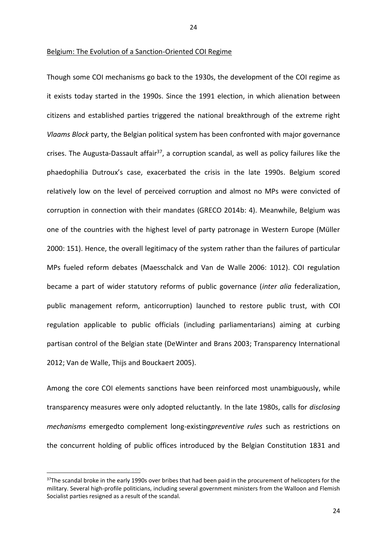Though some COI mechanisms go back to the 1930s, the development of the COI regime as it exists today started in the 1990s. Since the 1991 election, in which alienation between citizens and established parties triggered the national breakthrough of the extreme right *Vlaams Block* party, the Belgian political system has been confronted with major governance crises. The Augusta-Dassault affair<sup>37</sup>, a corruption scandal, as well as policy failures like the phaedophilia Dutroux's case, exacerbated the crisis in the late 1990s. Belgium scored relatively low on the level of perceived corruption and almost no MPs were convicted of corruption in connection with their mandates (GRECO 2014b: 4). Meanwhile, Belgium was one of the countries with the highest level of party patronage in Western Europe (Müller 2000: 151). Hence, the overall legitimacy of the system rather than the failures of particular MPs fueled reform debates (Maesschalck and Van de Walle 2006: 1012). COI regulation became a part of wider statutory reforms of public governance (*inter alia* federalization, public management reform, anticorruption) launched to restore public trust, with COI regulation applicable to public officials (including parliamentarians) aiming at curbing partisan control of the Belgian state (DeWinter and Brans 2003; Transparency International 2012; Van de Walle, Thijs and Bouckaert 2005).

Among the core COI elements sanctions have been reinforced most unambiguously, while transparency measures were only adopted reluctantly. In the late 1980s, calls for *disclosing mechanisms* emergedto complement long-existing*preventive rules* such as restrictions on the concurrent holding of public offices introduced by the Belgian Constitution 1831 and

**.** 

<sup>&</sup>lt;sup>37</sup>The scandal broke in the early 1990s over bribes that had been paid in the procurement of helicopters for the military. Several high-profile politicians, including several government ministers from the Walloon and Flemish Socialist parties resigned as a result of the scandal.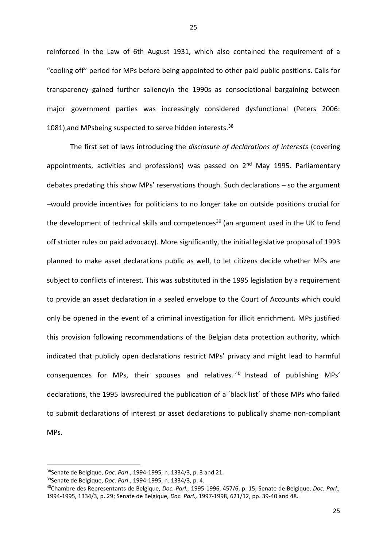reinforced in the Law of 6th August 1931, which also contained the requirement of a "cooling off" period for MPs before being appointed to other paid public positions. Calls for transparency gained further saliencyin the 1990s as consociational bargaining between major government parties was increasingly considered dysfunctional (Peters 2006: 1081), and MPsbeing suspected to serve hidden interests.<sup>38</sup>

The first set of laws introducing the *disclosure of declarations of interests* (covering appointments, activities and professions) was passed on  $2<sup>nd</sup>$  May 1995. Parliamentary debates predating this show MPs' reservations though. Such declarations – so the argument –would provide incentives for politicians to no longer take on outside positions crucial for the development of technical skills and competences<sup>39</sup> (an argument used in the UK to fend off stricter rules on paid advocacy). More significantly, the initial legislative proposal of 1993 planned to make asset declarations public as well, to let citizens decide whether MPs are subject to conflicts of interest. This was substituted in the 1995 legislation by a requirement to provide an asset declaration in a sealed envelope to the Court of Accounts which could only be opened in the event of a criminal investigation for illicit enrichment. MPs justified this provision following recommendations of the Belgian data protection authority, which indicated that publicly open declarations restrict MPs' privacy and might lead to harmful consequences for MPs, their spouses and relatives. <sup>40</sup> Instead of publishing MPs' declarations, the 1995 lawsrequired the publication of a ´black list´ of those MPs who failed to submit declarations of interest or asset declarations to publically shame non-compliant MPs.

<sup>38</sup>Senate de Belgique, *Doc. Parl*., 1994-1995, n. 1334/3, p. 3 and 21.

<sup>39</sup>Senate de Belgique, *Doc. Parl*., 1994-1995, n. 1334/3, p. 4.

<sup>40</sup>Chambre des Representants de Belgique, *Doc. Parl.,* 1995-1996, 457/6, p. 15; Senate de Belgique, *Doc. Parl.,* 1994-1995, 1334/3, p. 29; Senate de Belgique, *Doc. Parl.,* 1997-1998, 621/12, pp. 39-40 and 48.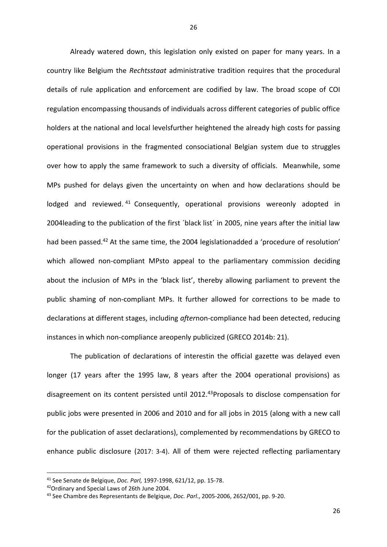Already watered down, this legislation only existed on paper for many years. In a country like Belgium the *Rechtsstaat* administrative tradition requires that the procedural details of rule application and enforcement are codified by law. The broad scope of COI regulation encompassing thousands of individuals across different categories of public office holders at the national and local levelsfurther heightened the already high costs for passing operational provisions in the fragmented consociational Belgian system due to struggles over how to apply the same framework to such a diversity of officials. Meanwhile, some MPs pushed for delays given the uncertainty on when and how declarations should be lodged and reviewed.<sup>41</sup> Consequently, operational provisions wereonly adopted in 2004leading to the publication of the first ´black list´ in 2005, nine years after the initial law had been passed.<sup>42</sup> At the same time, the 2004 legislationadded a 'procedure of resolution' which allowed non-compliant MPsto appeal to the parliamentary commission deciding about the inclusion of MPs in the 'black list', thereby allowing parliament to prevent the public shaming of non-compliant MPs. It further allowed for corrections to be made to declarations at different stages, including *after*non-compliance had been detected, reducing instances in which non-compliance areopenly publicized (GRECO 2014b: 21).

The publication of declarations of interestin the official gazette was delayed even longer (17 years after the 1995 law, 8 years after the 2004 operational provisions) as disagreement on its content persisted until 2012.<sup>43</sup>Proposals to disclose compensation for public jobs were presented in 2006 and 2010 and for all jobs in 2015 (along with a new call for the publication of asset declarations), complemented by recommendations by GRECO to enhance public disclosure (2017: 3-4). All of them were rejected reflecting parliamentary

<sup>41</sup> See Senate de Belgique, *Doc. Parl,* 1997-1998, 621/12, pp. 15-78.

<sup>42</sup>Ordinary and Special Laws of 26th June 2004.

<sup>43</sup> See Chambre des Representants de Belgique, *Doc. Parl*., 2005-2006, 2652/001, pp. 9-20.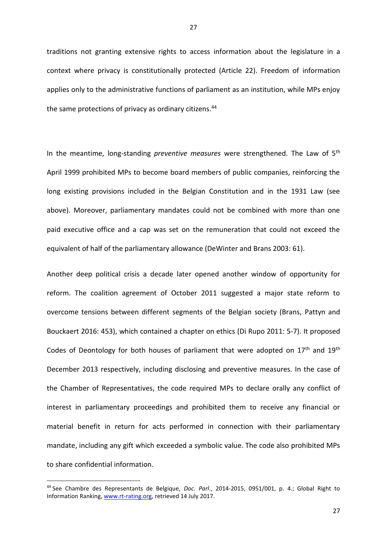traditions not granting extensive rights to access information about the legislature in a context where privacy is constitutionally protected (Article 22). Freedom of information applies only to the administrative functions of parliament as an institution, while MPs enjoy the same protections of privacy as ordinary citizens.<sup>44</sup>

In the meantime, long-standing *preventive measures* were strengthened. The Law of 5th April 1999 prohibited MPs to become board members of public companies, reinforcing the long existing provisions included in the Belgian Constitution and in the 1931 Law (see above). Moreover, parliamentary mandates could not be combined with more than one paid executive office and a cap was set on the remuneration that could not exceed the equivalent of half of the parliamentary allowance (DeWinter and Brans 2003: 61).

Another deep political crisis a decade later opened another window of opportunity for reform. The coalition agreement of October 2011 suggested a major state reform to overcome tensions between different segments of the Belgian society (Brans, Pattyn and Bouckaert 2016: 453), which contained a chapter on ethics (Di Rupo 2011: 5-7). It proposed Codes of Deontology for both houses of parliament that were adopted on  $17<sup>th</sup>$  and  $19<sup>th</sup>$ December 2013 respectively, including disclosing and preventive measures. In the case of the Chamber of Representatives, the code required MPs to declare orally any conflict of interest in parliamentary proceedings and prohibited them to receive any financial or material benefit in return for acts performed in connection with their parliamentary mandate, including any gift which exceeded a symbolic value. The code also prohibited MPs to share confidential information.

<sup>44</sup> See Chambre des Representants de Belgique, *Doc. Parl*., 2014-2015, 0951/001, p. 4.; Global Right to Information Ranking, [www.rt-rating.org,](http://www.rt-rating.org/) retrieved 14 July 2017.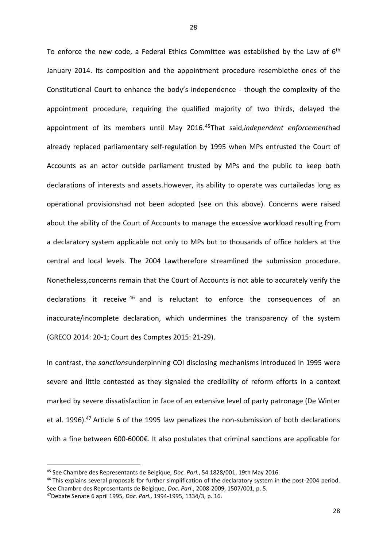To enforce the new code, a Federal Ethics Committee was established by the Law of 6<sup>th</sup> January 2014. Its composition and the appointment procedure resemblethe ones of the Constitutional Court to enhance the body's independence - though the complexity of the appointment procedure, requiring the qualified majority of two thirds, delayed the appointment of its members until May 2016. <sup>45</sup>That said,*independent enforcement*had already replaced parliamentary self-regulation by 1995 when MPs entrusted the Court of Accounts as an actor outside parliament trusted by MPs and the public to keep both declarations of interests and assets.However, its ability to operate was curtailedas long as operational provisionshad not been adopted (see on this above). Concerns were raised about the ability of the Court of Accounts to manage the excessive workload resulting from a declaratory system applicable not only to MPs but to thousands of office holders at the central and local levels. The 2004 Lawtherefore streamlined the submission procedure. Nonetheless,concerns remain that the Court of Accounts is not able to accurately verify the declarations it receive <sup>46</sup> and is reluctant to enforce the consequences of an inaccurate/incomplete declaration, which undermines the transparency of the system (GRECO 2014: 20-1; Court des Comptes 2015: 21-29).

In contrast, the *sanctions*underpinning COI disclosing mechanisms introduced in 1995 were severe and little contested as they signaled the credibility of reform efforts in a context marked by severe dissatisfaction in face of an extensive level of party patronage (De Winter et al. 1996).<sup>47</sup> Article 6 of the 1995 law penalizes the non-submission of both declarations with a fine between 600-6000€. It also postulates that criminal sanctions are applicable for

<sup>45</sup> See Chambre des Representants de Belgique, *Doc. Parl.*, 54 1828/001, 19th May 2016.

<sup>&</sup>lt;sup>46</sup> This explains several proposals for further simplification of the declaratory system in the post-2004 period. See Chambre des Representants de Belgique, *Doc. Parl*., 2008-2009, 1507/001, p. 5.

<sup>47</sup>Debate Senate 6 april 1995, *Doc. Parl.,* 1994-1995, 1334/3, p. 16.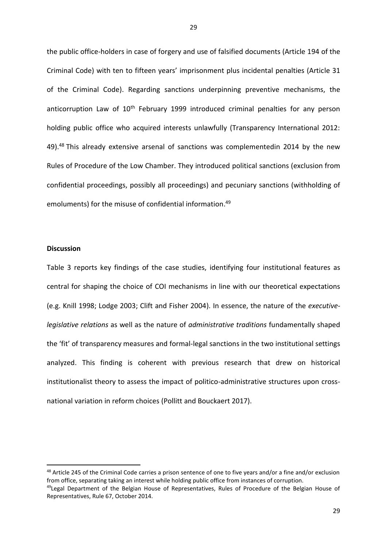the public office-holders in case of forgery and use of falsified documents (Article 194 of the Criminal Code) with ten to fifteen years' imprisonment plus incidental penalties (Article 31 of the Criminal Code). Regarding sanctions underpinning preventive mechanisms, the anticorruption Law of  $10<sup>th</sup>$  February 1999 introduced criminal penalties for any person holding public office who acquired interests unlawfully (Transparency International 2012: 49).<sup>48</sup> This already extensive arsenal of sanctions was complementedin 2014 by the new Rules of Procedure of the Low Chamber. They introduced political sanctions (exclusion from confidential proceedings, possibly all proceedings) and pecuniary sanctions (withholding of emoluments) for the misuse of confidential information. 49

## **Discussion**

**.** 

Table 3 reports key findings of the case studies, identifying four institutional features as central for shaping the choice of COI mechanisms in line with our theoretical expectations (e.g. Knill 1998; Lodge 2003; Clift and Fisher 2004). In essence, the nature of the *executivelegislative relations* as well as the nature of *administrative traditions* fundamentally shaped the 'fit' of transparency measures and formal-legal sanctions in the two institutional settings analyzed. This finding is coherent with previous research that drew on historical institutionalist theory to assess the impact of politico-administrative structures upon crossnational variation in reform choices (Pollitt and Bouckaert 2017).

<sup>48</sup> Article 245 of the Criminal Code carries a prison sentence of one to five years and/or a fine and/or exclusion from office, separating taking an interest while holding public office from instances of corruption.

<sup>&</sup>lt;sup>49</sup>Legal Department of the Belgian House of Representatives, Rules of Procedure of the Belgian House of Representatives, Rule 67, October 2014.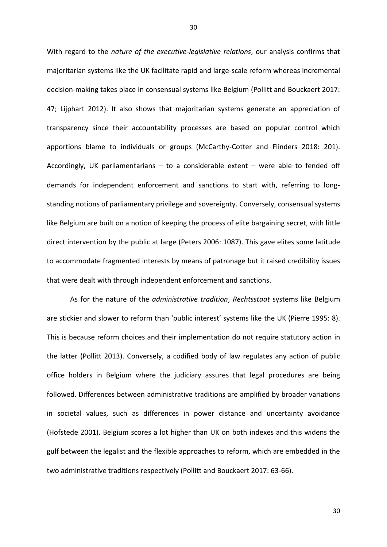With regard to the *nature of the executive-legislative relations*, our analysis confirms that majoritarian systems like the UK facilitate rapid and large-scale reform whereas incremental decision-making takes place in consensual systems like Belgium (Pollitt and Bouckaert 2017: 47; Lijphart 2012). It also shows that majoritarian systems generate an appreciation of transparency since their accountability processes are based on popular control which apportions blame to individuals or groups (McCarthy-Cotter and Flinders 2018: 201). Accordingly, UK parliamentarians  $-$  to a considerable extent  $-$  were able to fended off demands for independent enforcement and sanctions to start with, referring to longstanding notions of parliamentary privilege and sovereignty. Conversely, consensual systems like Belgium are built on a notion of keeping the process of elite bargaining secret, with little direct intervention by the public at large (Peters 2006: 1087). This gave elites some latitude to accommodate fragmented interests by means of patronage but it raised credibility issues that were dealt with through independent enforcement and sanctions.

As for the nature of the *administrative tradition*, *Rechtsstaat* systems like Belgium are stickier and slower to reform than 'public interest' systems like the UK (Pierre 1995: 8). This is because reform choices and their implementation do not require statutory action in the latter (Pollitt 2013). Conversely, a codified body of law regulates any action of public office holders in Belgium where the judiciary assures that legal procedures are being followed. Differences between administrative traditions are amplified by broader variations in societal values, such as differences in power distance and uncertainty avoidance (Hofstede 2001). Belgium scores a lot higher than UK on both indexes and this widens the gulf between the legalist and the flexible approaches to reform, which are embedded in the two administrative traditions respectively (Pollitt and Bouckaert 2017: 63-66).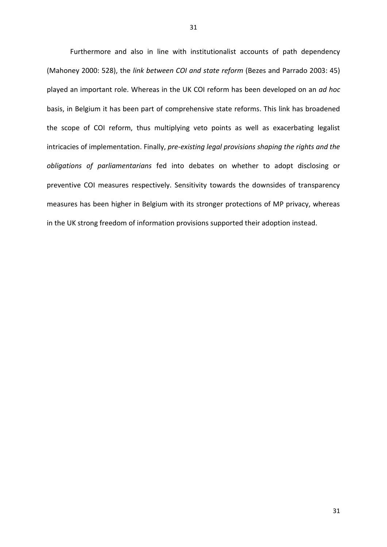Furthermore and also in line with institutionalist accounts of path dependency (Mahoney 2000: 528), the *link between COI and state reform* (Bezes and Parrado 2003: 45) played an important role. Whereas in the UK COI reform has been developed on an *ad hoc* basis, in Belgium it has been part of comprehensive state reforms. This link has broadened the scope of COI reform, thus multiplying veto points as well as exacerbating legalist intricacies of implementation. Finally, *pre-existing legal provisions shaping the rights and the obligations of parliamentarians* fed into debates on whether to adopt disclosing or preventive COI measures respectively. Sensitivity towards the downsides of transparency measures has been higher in Belgium with its stronger protections of MP privacy, whereas in the UK strong freedom of information provisions supported their adoption instead.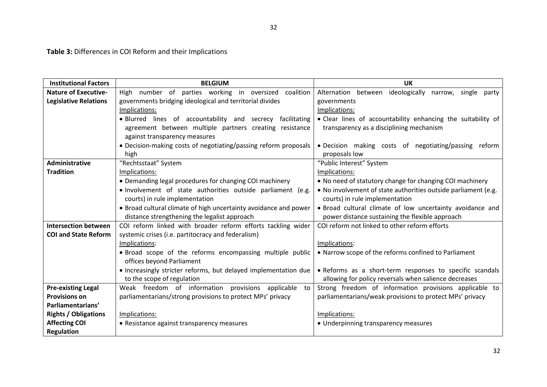**Table 3:** Differences in COI Reform and their Implications

| <b>Institutional Factors</b> | <b>BELGIUM</b>                                                   | <b>UK</b>                                                       |  |  |
|------------------------------|------------------------------------------------------------------|-----------------------------------------------------------------|--|--|
| <b>Nature of Executive-</b>  | High number of parties working in oversized coalition            | Alternation between ideologically<br>single<br>narrow,<br>party |  |  |
| <b>Legislative Relations</b> | governments bridging ideological and territorial divides         | governments                                                     |  |  |
|                              | Implications:                                                    | Implications:                                                   |  |  |
|                              | · Blurred lines of accountability and secrecy facilitating       | • Clear lines of accountability enhancing the suitability of    |  |  |
|                              | agreement between multiple partners creating resistance          | transparency as a disciplining mechanism                        |  |  |
|                              | against transparency measures                                    |                                                                 |  |  |
|                              | • Decision-making costs of negotiating/passing reform proposals  | • Decision making costs of negotiating/passing reform           |  |  |
|                              | high                                                             | proposals low                                                   |  |  |
| <b>Administrative</b>        | "Rechtsstaat" System                                             | "Public Interest" System                                        |  |  |
| <b>Tradition</b>             | Implications:                                                    | Implications:                                                   |  |  |
|                              | • Demanding legal procedures for changing COI machinery          | . No need of statutory change for changing COI machinery        |  |  |
|                              | . Involvement of state authorities outside parliament (e.g.      | . No involvement of state authorities outside parliament (e.g.  |  |  |
|                              | courts) in rule implementation                                   | courts) in rule implementation                                  |  |  |
|                              | • Broad cultural climate of high uncertainty avoidance and power | . Broad cultural climate of low uncertainty avoidance and       |  |  |
|                              | distance strengthening the legalist approach                     | power distance sustaining the flexible approach                 |  |  |
| <b>Intersection between</b>  | COI reform linked with broader reform efforts tackling wider     | COI reform not linked to other reform efforts                   |  |  |
| <b>COI and State Reform</b>  | systemic crises (i.e. partitocracy and federalism)               |                                                                 |  |  |
|                              | Implications:                                                    | Implications:                                                   |  |  |
|                              | . Broad scope of the reforms encompassing multiple public        | • Narrow scope of the reforms confined to Parliament            |  |  |
|                              | offices beyond Parliament                                        |                                                                 |  |  |
|                              | • Increasingly stricter reforms, but delayed implementation due  | . Reforms as a short-term responses to specific scandals        |  |  |
|                              | to the scope of regulation                                       | allowing for policy reversals when salience decreases           |  |  |
| <b>Pre-existing Legal</b>    | Weak freedom of information provisions applicable to             | Strong freedom of information provisions applicable to          |  |  |
| <b>Provisions on</b>         | parliamentarians/strong provisions to protect MPs' privacy       | parliamentarians/weak provisions to protect MPs' privacy        |  |  |
| Parliamentarians'            |                                                                  |                                                                 |  |  |
| <b>Rights / Obligations</b>  | Implications:                                                    | Implications:                                                   |  |  |
| <b>Affecting COI</b>         | • Resistance against transparency measures                       | • Underpinning transparency measures                            |  |  |
| <b>Regulation</b>            |                                                                  |                                                                 |  |  |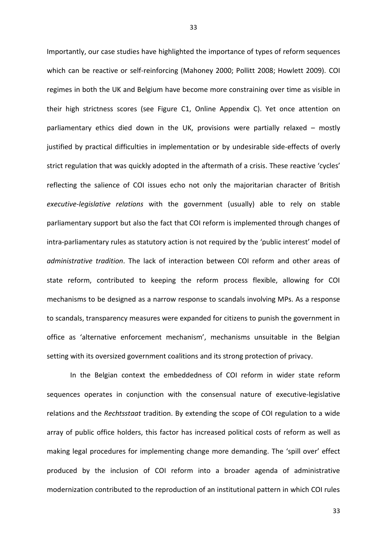Importantly, our case studies have highlighted the importance of types of reform sequences which can be reactive or self-reinforcing (Mahoney 2000; Pollitt 2008; Howlett 2009). COI regimes in both the UK and Belgium have become more constraining over time as visible in their high strictness scores (see Figure C1, Online Appendix C). Yet once attention on parliamentary ethics died down in the UK, provisions were partially relaxed – mostly justified by practical difficulties in implementation or by undesirable side-effects of overly strict regulation that was quickly adopted in the aftermath of a crisis. These reactive 'cycles' reflecting the salience of COI issues echo not only the majoritarian character of British *executive-legislative relations* with the government (usually) able to rely on stable parliamentary support but also the fact that COI reform is implemented through changes of intra-parliamentary rules as statutory action is not required by the 'public interest' model of *administrative tradition*. The lack of interaction between COI reform and other areas of state reform, contributed to keeping the reform process flexible, allowing for COI mechanisms to be designed as a narrow response to scandals involving MPs. As a response to scandals, transparency measures were expanded for citizens to punish the government in office as 'alternative enforcement mechanism', mechanisms unsuitable in the Belgian setting with its oversized government coalitions and its strong protection of privacy.

In the Belgian context the embeddedness of COI reform in wider state reform sequences operates in conjunction with the consensual nature of executive-legislative relations and the *Rechtsstaat* tradition. By extending the scope of COI regulation to a wide array of public office holders, this factor has increased political costs of reform as well as making legal procedures for implementing change more demanding. The 'spill over' effect produced by the inclusion of COI reform into a broader agenda of administrative modernization contributed to the reproduction of an institutional pattern in which COI rules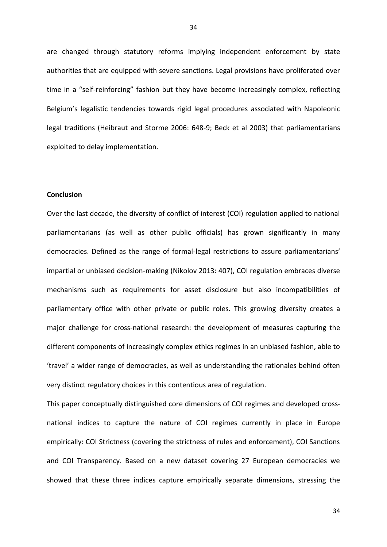are changed through statutory reforms implying independent enforcement by state authorities that are equipped with severe sanctions. Legal provisions have proliferated over time in a "self-reinforcing" fashion but they have become increasingly complex, reflecting Belgium's legalistic tendencies towards rigid legal procedures associated with Napoleonic legal traditions (Heibraut and Storme 2006: 648-9; Beck et al 2003) that parliamentarians exploited to delay implementation.

## **Conclusion**

Over the last decade, the diversity of conflict of interest (COI) regulation applied to national parliamentarians (as well as other public officials) has grown significantly in many democracies. Defined as the range of formal-legal restrictions to assure parliamentarians' impartial or unbiased decision-making (Nikolov 2013: 407), COI regulation embraces diverse mechanisms such as requirements for asset disclosure but also incompatibilities of parliamentary office with other private or public roles. This growing diversity creates a major challenge for cross-national research: the development of measures capturing the different components of increasingly complex ethics regimes in an unbiased fashion, able to 'travel' a wider range of democracies, as well as understanding the rationales behind often very distinct regulatory choices in this contentious area of regulation.

This paper conceptually distinguished core dimensions of COI regimes and developed crossnational indices to capture the nature of COI regimes currently in place in Europe empirically: COI Strictness (covering the strictness of rules and enforcement), COI Sanctions and COI Transparency. Based on a new dataset covering 27 European democracies we showed that these three indices capture empirically separate dimensions, stressing the

34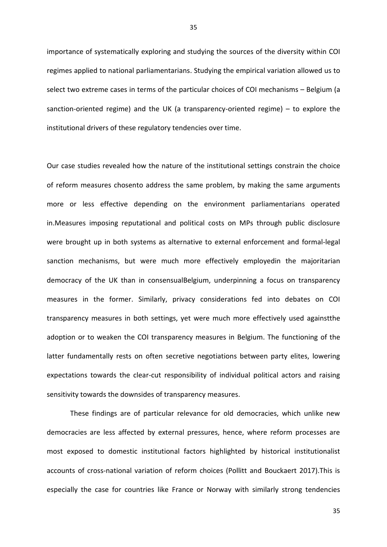importance of systematically exploring and studying the sources of the diversity within COI regimes applied to national parliamentarians. Studying the empirical variation allowed us to select two extreme cases in terms of the particular choices of COI mechanisms – Belgium (a sanction-oriented regime) and the UK (a transparency-oriented regime) – to explore the institutional drivers of these regulatory tendencies over time.

Our case studies revealed how the nature of the institutional settings constrain the choice of reform measures chosento address the same problem, by making the same arguments more or less effective depending on the environment parliamentarians operated in.Measures imposing reputational and political costs on MPs through public disclosure were brought up in both systems as alternative to external enforcement and formal-legal sanction mechanisms, but were much more effectively employedin the majoritarian democracy of the UK than in consensualBelgium, underpinning a focus on transparency measures in the former. Similarly, privacy considerations fed into debates on COI transparency measures in both settings, yet were much more effectively used againstthe adoption or to weaken the COI transparency measures in Belgium. The functioning of the latter fundamentally rests on often secretive negotiations between party elites, lowering expectations towards the clear-cut responsibility of individual political actors and raising sensitivity towards the downsides of transparency measures.

These findings are of particular relevance for old democracies, which unlike new democracies are less affected by external pressures, hence, where reform processes are most exposed to domestic institutional factors highlighted by historical institutionalist accounts of cross-national variation of reform choices (Pollitt and Bouckaert 2017).This is especially the case for countries like France or Norway with similarly strong tendencies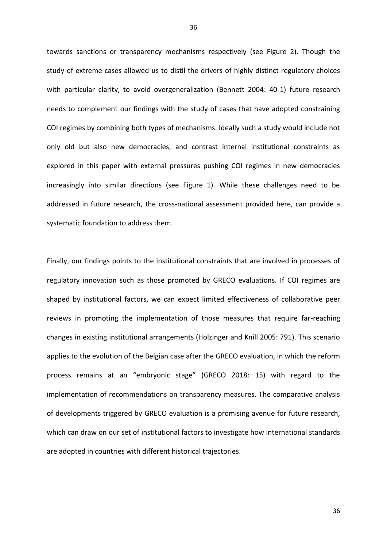towards sanctions or transparency mechanisms respectively (see Figure 2). Though the study of extreme cases allowed us to distil the drivers of highly distinct regulatory choices with particular clarity, to avoid overgeneralization (Bennett 2004: 40-1) future research needs to complement our findings with the study of cases that have adopted constraining COI regimes by combining both types of mechanisms. Ideally such a study would include not only old but also new democracies, and contrast internal institutional constraints as explored in this paper with external pressures pushing COI regimes in new democracies increasingly into similar directions (see Figure 1). While these challenges need to be addressed in future research, the cross-national assessment provided here, can provide a systematic foundation to address them.

Finally, our findings points to the institutional constraints that are involved in processes of regulatory innovation such as those promoted by GRECO evaluations. If COI regimes are shaped by institutional factors, we can expect limited effectiveness of collaborative peer reviews in promoting the implementation of those measures that require far-reaching changes in existing institutional arrangements (Holzinger and Knill 2005: 791). This scenario applies to the evolution of the Belgian case after the GRECO evaluation, in which the reform process remains at an "embryonic stage" (GRECO 2018: 15) with regard to the implementation of recommendations on transparency measures. The comparative analysis of developments triggered by GRECO evaluation is a promising avenue for future research, which can draw on our set of institutional factors to investigate how international standards are adopted in countries with different historical trajectories.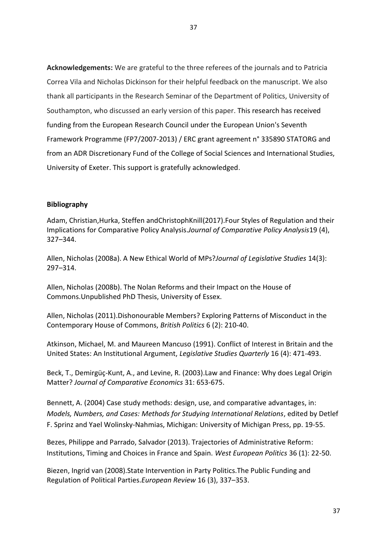**Acknowledgements:** We are grateful to the three referees of the journals and to Patricia Correa Vila and Nicholas Dickinson for their helpful feedback on the manuscript. We also thank all participants in the Research Seminar of the Department of Politics, University of Southampton, who discussed an early version of this paper. This research has received funding from the European Research Council under the European Union's Seventh Framework Programme (FP7/2007-2013) / ERC grant agreement n° 335890 STATORG and from an ADR Discretionary Fund of the College of Social Sciences and International Studies, University of Exeter. This support is gratefully acknowledged.

# **Bibliography**

Adam, Christian,Hurka, Steffen andChristophKnill(2017).Four Styles of Regulation and their Implications for Comparative Policy Analysis.*Journal of Comparative Policy Analysis*19 (4), 327–344.

Allen, Nicholas (2008a). A New Ethical World of MPs?*Journal of Legislative Studies* 14(3): 297–314.

Allen, Nicholas (2008b). The Nolan Reforms and their Impact on the House of Commons.Unpublished PhD Thesis, University of Essex.

Allen, Nicholas (2011).Dishonourable Members? Exploring Patterns of Misconduct in the Contemporary House of Commons, *British Politics* 6 (2): 210-40.

Atkinson, Michael, M. and Maureen Mancuso (1991). Conflict of Interest in Britain and the United States: An Institutional Argument, *Legislative Studies Quarterly* 16 (4): 471-493.

Beck, T., Demirgüç-Kunt, A., and Levine, R. (2003).Law and Finance: Why does Legal Origin Matter? *Journal of Comparative Economics* 31: 653-675.

Bennett, A. (2004) Case study methods: design, use, and comparative advantages, in: *Models, Numbers, and Cases: Methods for Studying International Relations*, edited b[y Detlef](https://www.amazon.com/s/ref=dp_byline_sr_book_1?ie=UTF8&text=Detlef+F.+Sprinz&search-alias=books&field-author=Detlef+F.+Sprinz&sort=relevancerank)  [F. Sprinz](https://www.amazon.com/s/ref=dp_byline_sr_book_1?ie=UTF8&text=Detlef+F.+Sprinz&search-alias=books&field-author=Detlef+F.+Sprinz&sort=relevancerank) and [Yael Wolinsky-Nahmias,](https://www.amazon.com/s/ref=dp_byline_sr_book_2?ie=UTF8&text=Yael+Wolinsky-Nahmias&search-alias=books&field-author=Yael+Wolinsky-Nahmias&sort=relevancerank) Michigan: University of Michigan Press, pp. 19-55.

Bezes, Philippe and Parrado, Salvador (2013). Trajectories of Administrative Reform: Institutions, Timing and Choices in France and Spain. *West European Politics* 36 (1): 22-50.

Biezen, Ingrid van (2008).State Intervention in Party Politics.The Public Funding and Regulation of Political Parties.*European Review* 16 (3), 337–353.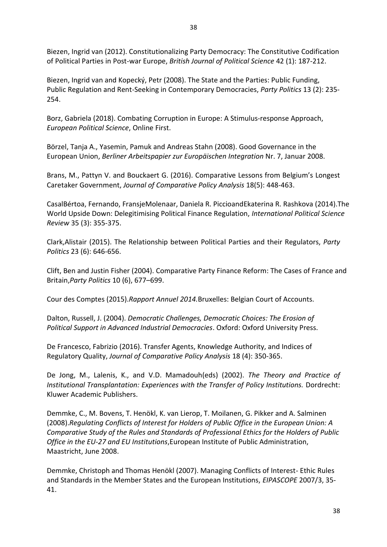Biezen, Ingrid van (2012). Constitutionalizing Party Democracy: The Constitutive Codification of Political Parties in Post-war Europe, *British Journal of Political Science* 42 (1): 187-212.

Biezen, Ingrid van and Kopecký, Petr (2008). The State and the Parties: Public Funding, Public Regulation and Rent-Seeking in Contemporary Democracies, *Party Politics* 13 (2): 235- 254.

Borz, Gabriela (2018). Combating Corruption in Europe: A Stimulus-response Approach, *European Political Science*, Online First.

Börzel, Tanja A., Yasemin, Pamuk and Andreas Stahn (2008). Good Governance in the European Union, *Berliner Arbeitspapier zur Europäischen Integration* Nr. 7, Januar 2008.

Brans, M., Pattyn V. and Bouckaert G. (2016). Comparative Lessons from Belgium's Longest Caretaker Government, *Journal of Comparative Policy Analysis* 18(5): 448-463.

CasalBértoa, Fernando, [FransjeMolenaar,](http://ips.sagepub.com/search?author1=Fransje+Molenaar&sortspec=date&submit=Submit) [Daniela R. Piccioa](http://ips.sagepub.com/search?author1=Daniela+R+Piccio&sortspec=date&submit=Submit)n[dEkaterina R. Rashkova](http://ips.sagepub.com/search?author1=Ekaterina+R+Rashkova&sortspec=date&submit=Submit) (2014).The World Upside Down: Delegitimising Political Finance Regulation, *International Political Science Review* 35 (3): 355-375.

Clark,Alistair (2015). The Relationship between Political Parties and their Regulators, *Party Politics* 23 (6): 646-656.

Clift, Ben and Justin Fisher (2004). Comparative Party Finance Reform: The Cases of France and Britain,*Party Politics* 10 (6), 677–699.

Cour des Comptes (2015).*Rapport Annuel 2014.*Bruxelles: Belgian Court of Accounts.

Dalton, Russell, J. (2004). *Democratic Challenges, Democratic Choices: The Erosion of Political Support in Advanced Industrial Democracies*. Oxford: Oxford University Press.

De Francesco, Fabrizio (2016). Transfer Agents, Knowledge Authority, and Indices of Regulatory Quality, *Journal of Comparative Policy Analysis* 18 (4): 350-365.

De Jong, M., Lalenis, K., and V.D. Mamadouh(eds) (2002). *The Theory and Practice of Institutional Transplantation: Experiences with the Transfer of Policy Institutions.* Dordrecht: Kluwer Academic Publishers.

Demmke, C., M. Bovens, T. Henökl, K. van Lierop, T. Moilanen, G. Pikker and A. Salminen (2008).*Regulating Conflicts of Interest for Holders of Public Office in the European Union: A Comparative Study of the Rules and Standards of Professional Ethics for the Holders of Public Office in the EU-27 and EU Institutions*,European Institute of Public Administration, Maastricht, June 2008.

Demmke, Christoph and Thomas Henökl (2007). Managing Conflicts of Interest- Ethic Rules and Standards in the Member States and the European Institutions, *EIPASCOPE* 2007/3, 35- 41.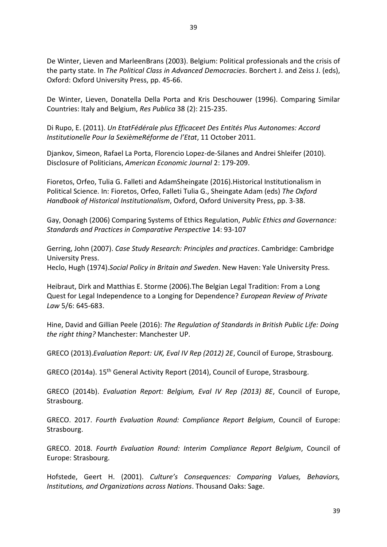De Winter, Lieven and MarleenBrans (2003). Belgium: Political professionals and the crisis of the party state. In *The Political Class in Advanced Democracies*. Borchert J. and Zeiss J. (eds), Oxford: Oxford University Press, pp. 45-66.

De Winter, Lieven, Donatella Della Porta and Kris Deschouwer (1996). Comparing Similar Countries: Italy and Belgium, *Res Publica* 38 (2): 215-235.

Di Rupo, E. (2011). *Un EtatFédérale plus Efficaceet Des Entités Plus Autonomes: Accord Institutionelle Pour la SexièmeRéforme de l'Etat*, 11 October 2011.

Djankov, Simeon, Rafael La Porta, Florencio Lopez-de-Silanes and Andrei Shleifer (2010). Disclosure of Politicians, *American Economic Journal* 2: 179-209.

Fioretos, Orfeo, Tulia G. Falleti and AdamSheingate (2016).Historical Institutionalism in Political Science. In: Fioretos, Orfeo, Falleti Tulia G., Sheingate Adam (eds) *The Oxford Handbook of Historical Institutionalism*, Oxford, Oxford University Press, pp. 3-38.

Gay, Oonagh (2006) Comparing Systems of Ethics Regulation, *Public Ethics and Governance: Standards and Practices in Comparative Perspective* 14: 93-107

Gerring, John (2007). *Case Study Research: Principles and practices*. Cambridge: Cambridge University Press.

Heclo, Hugh (1974).*Social Policy in Britain and Sweden*. New Haven: Yale University Press.

Heibraut, Dirk and Matthias E. Storme (2006).The Belgian Legal Tradition: From a Long Quest for Legal Independence to a Longing for Dependence? *European Review of Private Law* 5/6: 645-683.

Hine, David and Gillian Peele (2016): *The Regulation of Standards in British Public Life: Doing the right thing?* Manchester: Manchester UP.

GRECO (2013).*Evaluation Report: UK, Eval IV Rep (2012) 2E*, Council of Europe, Strasbourg.

GRECO (2014a). 15<sup>th</sup> General Activity Report (2014), Council of Europe, Strasbourg.

GRECO (2014b). *Evaluation Report: Belgium, Eval IV Rep (2013) 8E*, Council of Europe, Strasbourg.

GRECO. 2017. *Fourth Evaluation Round: Compliance Report Belgium*, Council of Europe: Strasbourg.

GRECO. 2018. *Fourth Evaluation Round: Interim Compliance Report Belgium*, Council of Europe: Strasbourg.

Hofstede, Geert H. (2001). *Culture's Consequences: Comparing Values, Behaviors, Institutions, and Organizations across Nations*. Thousand Oaks: Sage.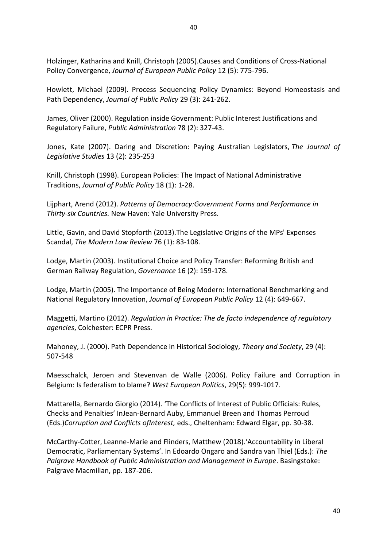Holzinger, Katharina and Knill, Christoph (2005).Causes and Conditions of Cross-National Policy Convergence, *Journal of European Public Policy* 12 (5): 775-796.

Howlett, Michael (2009). Process Sequencing Policy Dynamics: Beyond Homeostasis and Path Dependency, *Journal of Public Policy* 29 (3): 241-262.

James, Oliver (2000). Regulation inside Government: Public Interest Justifications and Regulatory Failure, *Public Administration* 78 (2): 327-43.

Jones, Kate (2007). Daring and Discretion: Paying Australian Legislators, *The Journal of Legislative Studies* 13 (2): 235-253

Knill, Christoph (1998). European Policies: The Impact of National Administrative Traditions, *Journal of Public Policy* 18 (1): 1-28.

Lijphart, Arend (2012). *Patterns of Democracy:Government Forms and Performance in Thirty-six Countries.* New Haven: Yale University Press.

Little, Gavin, and David Stopforth (2013).The Legislative Origins of the MPs' Expenses Scandal, *The Modern Law Review* 76 (1): 83-108.

Lodge, Martin (2003). Institutional Choice and Policy Transfer: Reforming British and German Railway Regulation, *Governance* 16 (2): 159-178.

Lodge, Martin (2005). The Importance of Being Modern: International Benchmarking and National Regulatory Innovation, *Journal of European Public Policy* 12 (4): 649-667.

Maggetti, Martino (2012). *Regulation in Practice: The de facto independence of regulatory agencies*, Colchester: ECPR Press.

Mahoney, J. (2000). Path Dependence in Historical Sociology, *Theory and Society*, 29 (4): 507-548

Maesschalck, Jeroen and Stevenvan de Walle (2006). Policy Failure and Corruption in Belgium: Is federalism to blame? *West European Politics*, 29(5): 999-1017.

Mattarella, Bernardo Giorgio (2014). 'The Conflicts of Interest of Public Officials: Rules, Checks and Penalties' InJean-Bernard Auby, Emmanuel Breen and Thomas Perroud (Eds.)*Corruption and Conflicts ofInterest,* eds., Cheltenham: Edward Elgar, pp. 30-38.

McCarthy-Cotter, Leanne-Marie and Flinders, Matthew (2018).'Accountability in Liberal Democratic, Parliamentary Systems'. In Edoardo Ongaro and Sandra van Thiel (Eds.): *The Palgrave Handbook of Public Administration and Management in Europe*. Basingstoke: Palgrave Macmillan, pp. 187-206.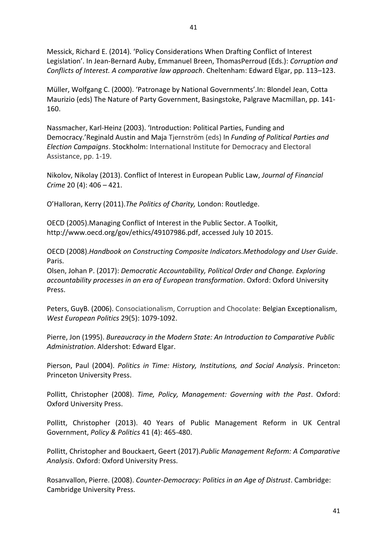Messick, Richard E. (2014). 'Policy Considerations When Drafting Conflict of Interest Legislation'. In Jean-Bernard Auby, Emmanuel Breen, ThomasPerroud (Eds.): *Corruption and Conflicts of Interest. A comparative law approach*. Cheltenham: Edward Elgar, pp. 113–123.

Müller, Wolfgang C. (2000). 'Patronage by National Governments'.In: Blondel Jean, Cotta Maurizio (eds) The Nature of Party Government, Basingstoke, Palgrave Macmillan, pp. 141- 160.

Nassmacher, Karl-Heinz (2003). 'Introduction: Political Parties, Funding and Democracy.'Reginald Austin and Maja Tjernström (eds) In *Funding of Political Parties and Election Campaigns*. Stockholm: International Institute for Democracy and Electoral Assistance, pp. 1-19.

Nikolov, Nikolay (2013). Conflict of Interest in European Public Law, *Journal of Financial Crime* 20 (4): 406 – 421.

O'Halloran, Kerry (2011).*The Politics of Charity,* London: Routledge.

OECD (2005).Managing Conflict of Interest in the Public Sector. A Toolkit, [http://www.oecd.org/gov/ethics/49107986.pdf,](http://www.oecd.org/gov/ethics/49107986.pdf) accessed July 10 2015.

OECD (2008).*Handbook on Constructing Composite Indicators.Methodology and User Guide*. Paris.

Olsen, Johan P. (2017): *Democratic Accountability, Political Order and Change. Exploring accountability processes in an era of European transformation*. Oxford: Oxford University Press.

Peters, GuyB. (2006). Consociationalism, Corruption and Chocolate: Belgian Exceptionalism, *West European Politics* 29(5): 1079-1092.

Pierre, Jon (1995). *Bureaucracy in the Modern State: An Introduction to Comparative Public Administration*. Aldershot: Edward Elgar.

Pierson, Paul (2004). *Politics in Time: History, Institutions, and Social Analysis*. Princeton: Princeton University Press.

Pollitt, Christopher (2008). *Time, Policy, Management: Governing with the Past*. Oxford: Oxford University Press.

Pollitt, Christopher (2013). 40 Years of Public Management Reform in UK Central Government, *Policy & Politics* 41 (4): 465-480.

Pollitt, Christopher and Bouckaert, Geert (2017).*Public Management Reform: A Comparative Analysis*. Oxford: Oxford University Press.

Rosanvallon, Pierre. (2008). *Counter-Democracy: Politics in an Age of Distrust*. Cambridge: Cambridge University Press.